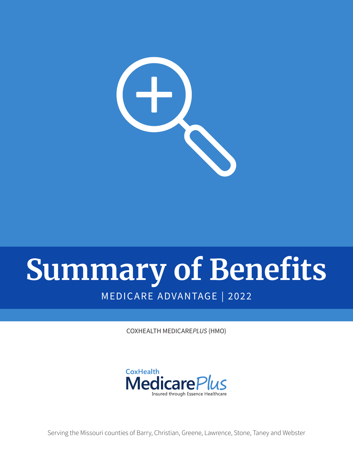

# **Summary of Benefits** MEDICARE ADVANTAGE | 2022

COXHEALTH MEDICARE*PLUS* (HMO)



Serving the Missouri counties of Barry, Christian, Greene, Lawrence, Stone, Taney and Webster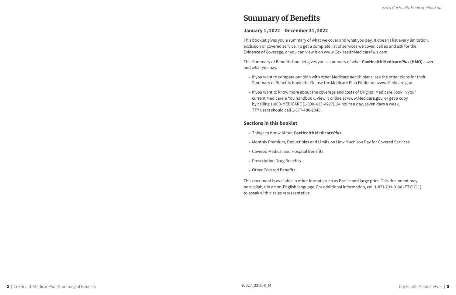## **Summary of Benefits**

## **January 1, 2022 – December 31, 2022**

This booklet gives you a summary of what we cover and what you pay. It doesn't list every limitation, exclusion or covered service. To get a complete list of services we cover, call us and ask for the Evidence of Coverage, or you can view it on www.CoxHealthMedicare*Plus*.com.

This Summary of Benefits booklet gives you a summary of what **CoxHealth Medicare***Plus* **(HMO)** covers and what you pay.

• If you want to compare our plan with other Medicare health plans, ask the other plans for their

- Summary of Benefits booklets. Or, use the Medicare Plan Finder on www.Medicare.gov.
- If you want to know more about the coverage and costs of Original Medicare, look in your current Medicare & You handbook. View it online at www.Medicare.gov, or get a copy by calling 1-800-MEDICARE (1-800-633-4227), 24 hours a day, seven days a week. TTY users should call 1-877-486-2048.

## **Sections in this booklet**

- Things to Know About **CoxHealth Medicare***Plus*
- Monthly Premium, Deductibles and Limits on How Much You Pay for Covered Services
- Covered Medical and Hospital Benefits
- Prescription Drug Benefits
- Other Covered Benefits

This document is available in other formats such as Braille and large print. This document may be available in a non-English language. For additional information, call 1-877-709-9168 (TTY: 711) to speak with a sales representative.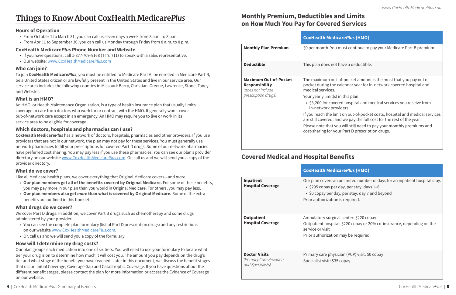#### 4 | CoxHealth Medicar*ePlu*s Summary of Benefits CoxHealth Medicare*Plus* | 5

## **Monthly Premium, Deductibles and Limits on How Much You Pay for Covered Services**

## **CoxHealth Medicare***Plus* **(HMO)**

**Monthly Monthly and Bran Plan Plan Bremium. You must continue to pay your Medicare Part B premium.** 

ot have a deductible.

ut-of-pocket amount is the most that you pay out of e calendar year for in-network covered hospital and

- s) in this plan:
- ered hospital and medical services you receive from roviders
- imit on out-of-pocket costs, hospital and medical services and we pay the full cost for the rest of the year.
- you will still need to pay your monthly premiums and your Part D prescription drugs.

|                                                                                                   | <b>CoxHealth Med</b>                                                                                                                                                                                                 |
|---------------------------------------------------------------------------------------------------|----------------------------------------------------------------------------------------------------------------------------------------------------------------------------------------------------------------------|
| <b>Monthly Plan Premium</b>                                                                       | \$0 per month. Yo                                                                                                                                                                                                    |
| <b>Deductible</b>                                                                                 | This plan does no                                                                                                                                                                                                    |
| <b>Maximum Out-of-Pocket</b><br><b>Responsibility</b><br>(does not include<br>prescription drugs) | The maximum ou<br>pocket during the<br>medical services.<br>Your yearly limit(s<br>$\cdot$ \$3,200 for cov<br>in-network pr<br>If you reach the li<br>are still covered,<br>Please note that y<br>cost-sharing for y |

## **Covered Medical and Hospital Benefits**

## **CoxHealth Medicare***Plus* **(HMO)**

n unlimited number of days for an inpatient hospital stay. er day, per stay: days 1–6

- lay, per stay: day 7 and beyond
- on is required.

cal center: \$220 copay tal:  $$220$  copay or 20% co-insurance, depending on the

on may be required.

sician (PCP) visit: \$0 copay 35 copay

|                                                                     | <b>CoxHealth Medi</b>                                                                  |
|---------------------------------------------------------------------|----------------------------------------------------------------------------------------|
| <b>Inpatient</b><br><b>Hospital Coverage</b>                        | Our plan covers a<br>$\cdot$ \$295 copay pe<br>• \$0 copay per d<br>Prior authorizatio |
| <b>Outpatient</b><br><b>Hospital Coverage</b>                       | Ambulatory surgio<br>Outpatient hospit<br>service or visit<br>Prior authorizatio       |
| <b>Doctor Visits</b><br>(Primary Care Providers<br>and Specialists) | Primary care phys<br>Specialist visit: \$3                                             |

## **Things to Know About CoxHealth Medicare***Plus*

#### **Hours of Operation**

- From October 1 to March 31, you can call us seven days a week from 8 a.m. to 8 p.m.
- From April 1 to September 30, you can call us Monday through Friday from 8 a.m. to 8 p.m.

### **CoxHealth Medicare***Plus* **Phone Number and Website**

- If you have questions, call 1-877-709-9168 (TTY: 711) to speak with a sales representative.
- Our website: www.CoxHealthMedicare*Plus*.com

## **Who can join?**

To join **CoxHealth Medicare***Plus*, you must be entitled to Medicare Part A, be enrolled in Medicare Part B, be a United States citizen or are lawfully present in the United States and live in our service area. Our service area includes the following counties in Missouri: Barry, Christian, Greene, Lawrence, Stone, Taney and Webster.

## **What is an HMO?**

An HMO, or Health Maintenance Organization, is a type of health insurance plan that usually limits coverage to care from doctors who work for or contract with the HMO. It generally won't cover out-of-network care except in an emergency. An HMO may require you to live or work in its service area to be eligible for coverage.

## **Which doctors, hospitals and pharmacies can I use?**

**CoxHealth Medicare***Plus* has a network of doctors, hospitals, pharmacies and other providers. If you use providers that are not in our network, the plan may not pay for these services. You must generally use network pharmacies to fill your prescriptions for covered Part D drugs. Some of our network pharmacies have preferred cost sharing. You may pay less if you use these pharmacies. You can see our plan's provider directory on our website www.CoxHealthMedicare*Plus*.com. Or, call us and we will send you a copy of the provider directory.

### **What do we cover?**

Like all Medicare health plans, we cover everything that Original Medicare covers—and *more*.

- **Our plan members get all of the benefits covered by Original Medicare.** For some of these benefits, you may pay more in our plan than you would in Original Medicare. For others, you may pay less.
- **Our plan members also get** *more* **than what is covered by Original Medicare.** Some of the extra benefits are outlined in this booklet.

### **What drugs do we cover?**

We cover Part D drugs. In addition, we cover Part B drugs such as chemotherapy and some drugs administered by your provider.

- You can see the complete plan formulary (list of Part D prescription drugs) and any restrictions on our website www.CoxHealthMedicare*Plus*.com.
- Or, call us and we will send you a copy of the formulary.

### **How will I determine my drug costs?**

Our plan groups each medication into one of six tiers. You will need to use your formulary to locate what tier your drug is on to determine how much it will cost you. The amount you pay depends on the drug's tier and what stage of the benefit you have reached. Later in this document, we discuss the benefit stages that occur: Initial Coverage, Coverage Gap and Catastrophic Coverage. If you have questions about the different benefit stages, please contact the plan for more information or access the Evidence of Coverage on our website.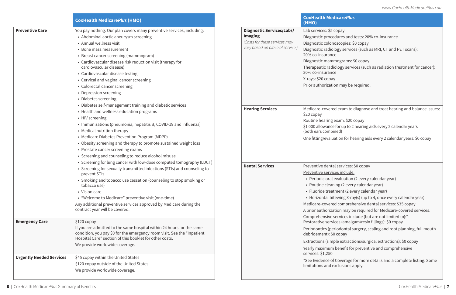|                                 | <b>CoxHealth MedicarePlus (HMO)</b>                                                                                                                                                                                                                                                                                                                                                                                                                                      |                                                                                                                         | <b>CoxHealth Medi</b><br>(HMO)                                                                                                                                                                                   |
|---------------------------------|--------------------------------------------------------------------------------------------------------------------------------------------------------------------------------------------------------------------------------------------------------------------------------------------------------------------------------------------------------------------------------------------------------------------------------------------------------------------------|-------------------------------------------------------------------------------------------------------------------------|------------------------------------------------------------------------------------------------------------------------------------------------------------------------------------------------------------------|
| <b>Preventive Care</b>          | You pay nothing. Our plan covers many preventive services, including:<br>• Abdominal aortic aneurysm screening<br>• Annual wellness visit<br>• Bone mass measurement<br>• Breast cancer screening (mammogram)<br>• Cardiovascular disease risk reduction visit (therapy for<br>cardiovascular disease)<br>• Cardiovascular disease testing<br>• Cervical and vaginal cancer screening<br>• Colorectal cancer screening<br>• Depression screening<br>• Diabetes screening | <b>Diagnostic Services/Labs/</b><br><b>Imaging</b><br>(Costs for these services may<br>vary based on place of service.) | Lab services: \$5 co<br>Diagnostic proced<br>Diagnostic colono<br>Diagnostic radiolo<br>20% co-insurance<br>Diagnostic mamm<br>Therapeutic radio<br>20% co-insurance<br>X-rays: \$20 copay<br>Prior authorizatio |
|                                 | • Diabetes self-management training and diabetic services<br>• Health and wellness education programs<br>• HIV screening<br>• Immunizations (pneumonia, hepatitis B, COVID-19 and influenza)<br>• Medical nutrition therapy<br>• Medicare Diabetes Prevention Program (MDPP)<br>• Obesity screening and therapy to promote sustained weight loss<br>• Prostate cancer screening exams<br>• Screening and counseling to reduce alcohol misuse                             | <b>Hearing Services</b>                                                                                                 | Medicare-covered<br>\$20 copay<br>Routine hearing ex<br>\$1,000 allowance f<br>(both ears combin<br>One fitting/evalua                                                                                           |
|                                 | • Screening for lung cancer with low-dose computed tomography (LDCT)<br>• Screening for sexually transmitted infections (STIs) and counseling to<br>prevent STIs<br>• Smoking and tobacco use cessation (counseling to stop smoking or<br>tobacco use)<br>• Vision care<br>• "Welcome to Medicare" preventive visit (one-time)<br>Any additional preventive services approved by Medicare during the<br>contract year will be covered.                                   | <b>Dental Services</b>                                                                                                  | Preventive dental<br>Preventive service<br>• Periodic oral et<br>• Routine cleani<br>• Fluoride treatn<br>• Horizontal bite<br>Medicare-covered<br>A prior authorizati                                           |
| <b>Emergency Care</b>           | $$120$ copay<br>If you are admitted to the same hospital within 24 hours for the same<br>condition, you pay \$0 for the emergency room visit. See the "Inpatient"<br>Hospital Care" section of this booklet for other costs.<br>We provide worldwide coverage.                                                                                                                                                                                                           |                                                                                                                         | Comprehensive se<br>Restorative servic<br>Periodontics (peri<br>debridement): \$0<br><b>Extractions (simpl</b><br>Yearly maximum b                                                                               |
| <b>Urgently Needed Services</b> | \$45 copay within the United States<br>\$120 copay outside of the United States<br>We provide worldwide coverage.                                                                                                                                                                                                                                                                                                                                                        |                                                                                                                         | services: $$1,250$<br>*See Evidence of 0<br>limitations and ex                                                                                                                                                   |

#### **CoxHealth Medicare***Plus*

opay

- dures and tests: 20% co-insurance
- oscopies: \$0 copay
- ogy services (such as MRI, CT and PET scans):
- 
- nograms: \$0 copay
- $\log$ y services (such as radiation treatment for cancer):

on may be required.

l exam to diagnose and treat hearing and balance issues:

xam: \$20 copay

- for up to 2 hearing aids every 2 calendar years (ed
- ation for hearing aids every 2 calendar years: \$0 copay

**Dental Services: \$0 copay** 

es include:

- valuation (2 every calendar year)
- ing (2 every calendar year)
- ment (2 every calendar year)
- ewing X-ray(s) (up to 4, once every calendar year)
- comprehensive dental services: \$35 copay
- tion may be required for Medicare-covered services.
- ervices include (but are not limited to):\*
- ces (amalgam/resin fillings): \$0 copay
- iodontal surgery, scaling and root planning, full mouth copay
- le extractions/surgical extractions): \$0 copay
- benefit for preventive and comprehensive

Coverage for more details and a complete listing. Some clusions apply.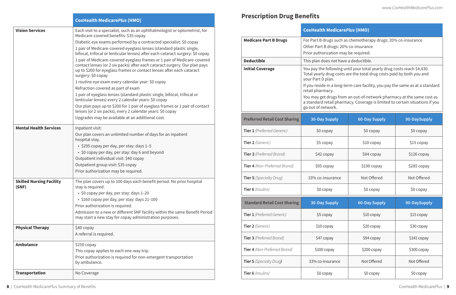|                                          | <b>CoxHealth MedicarePlus (HMO)</b>                                                                                                                                                                                                                                                                                                                                                                                                                                                                                                                                                                                                                                                                                                                                                                                                                                                                                                                                                                                                           |
|------------------------------------------|-----------------------------------------------------------------------------------------------------------------------------------------------------------------------------------------------------------------------------------------------------------------------------------------------------------------------------------------------------------------------------------------------------------------------------------------------------------------------------------------------------------------------------------------------------------------------------------------------------------------------------------------------------------------------------------------------------------------------------------------------------------------------------------------------------------------------------------------------------------------------------------------------------------------------------------------------------------------------------------------------------------------------------------------------|
| <b>Vision Services</b>                   | Each visit to a specialist, such as an ophthalmologist or optometrist, for<br>Medicare-covered benefits: \$35 copay<br>Diabetic eye exams performed by a contracted specialist: \$0 copay<br>1 pair of Medicare-covered eyeglass lenses (standard plastic single,<br>bifocal, trifocal or lenticular lenses) after each cataract surgery: \$0 copay<br>1 pair of Medicare-covered eyeglass frames or 1 pair of Medicare-covered<br>contact lenses (or 2 six packs) after each cataract surgery. Our plan pays<br>up to \$200 for eyeglass frames or contact lenses after each cataract<br>surgery: \$0 copay<br>1 routine eye exam every calendar year: \$0 copay<br>Refraction covered as part of exam<br>1 pair of eyeglass lenses (standard plastic single, bifocal, trifocal or<br>lenticular lenses) every 2 calendar years: \$0 copay<br>Our plan pays up to \$200 for 1 pair of eyeglass frames or 1 pair of contact<br>lenses (or 2 six packs), every 2 calendar years: \$0 copay<br>Upgrades may be available at an additional cost. |
| <b>Mental Health Services</b>            | Inpatient visit:<br>Our plan covers an unlimited number of days for an inpatient<br>hospital stay.<br>• \$295 copay per day, per stay: days 1-5<br>• \$0 copay per day, per stay: day 6 and beyond<br>Outpatient individual visit: \$40 copay<br>Outpatient group visit: \$35 copay<br>Prior authorization may be required.                                                                                                                                                                                                                                                                                                                                                                                                                                                                                                                                                                                                                                                                                                                   |
| <b>Skilled Nursing Facility</b><br>(SNF) | The plan covers up to 100 days each benefit period. No prior hospital<br>stay is required.<br>· \$0 copay per day, per stay: days 1-20<br>• \$160 copay per day, per stay: days 21-100<br>Prior authorization is required.<br>Admission to a new or different SNF facility within the same Benefit Period<br>may start a new stay for copay administration purposes.                                                                                                                                                                                                                                                                                                                                                                                                                                                                                                                                                                                                                                                                          |
| <b>Physical Therapy</b>                  | \$40 copay<br>A referral is required.                                                                                                                                                                                                                                                                                                                                                                                                                                                                                                                                                                                                                                                                                                                                                                                                                                                                                                                                                                                                         |
| <b>Ambulance</b>                         | $$250$ copay<br>This copay applies to each one-way trip.<br>Prior authorization is required for non-emergent transportation<br>by ambulance.                                                                                                                                                                                                                                                                                                                                                                                                                                                                                                                                                                                                                                                                                                                                                                                                                                                                                                  |
| <b>Transportation</b>                    | No Coverage                                                                                                                                                                                                                                                                                                                                                                                                                                                                                                                                                                                                                                                                                                                                                                                                                                                                                                                                                                                                                                   |

## **Prescription Drug Benefits**

|                                      | <b>CoxHealth MedicarePlus (HMO)</b>                                                                                                                                                                                                                                                                                                                                                                                                                       |                      |              |
|--------------------------------------|-----------------------------------------------------------------------------------------------------------------------------------------------------------------------------------------------------------------------------------------------------------------------------------------------------------------------------------------------------------------------------------------------------------------------------------------------------------|----------------------|--------------|
| <b>Medicare Part B Drugs</b>         | For Part B drugs such as chemotherapy drugs: 20% co-insurance<br>Other Part B drugs: 20% co-insurance<br>Prior authorization may be required.                                                                                                                                                                                                                                                                                                             |                      |              |
| <b>Deductible</b>                    | This plan does not have a deductible.                                                                                                                                                                                                                                                                                                                                                                                                                     |                      |              |
| <b>Initial Coverage</b>              | You pay the following until your total yearly drug costs reach \$4,430.<br>Total yearly drug costs are the total drug costs paid by both you and<br>your Part D plan.<br>If you reside in a long-term care facility, you pay the same as at a standard<br>retail pharmacy.<br>You may get drugs from an out-of-network pharmacy at the same cost as<br>a standard retail pharmacy. Coverage is limited to certain situations if you<br>go out of network. |                      |              |
| <b>Preferred Retail Cost Sharing</b> | <b>30-Day Supply</b>                                                                                                                                                                                                                                                                                                                                                                                                                                      | <b>60-Day Supply</b> | 90-DaySupply |
| Tier 1 (Preferred Generic)           | \$0 copay                                                                                                                                                                                                                                                                                                                                                                                                                                                 | \$0 copay            | \$0 copay    |
| Tier 2 (Generic)                     | \$5 copay                                                                                                                                                                                                                                                                                                                                                                                                                                                 | \$10 copay           | \$15 copay   |
| <b>Tier 3</b> (Preferred Brand)      | \$42 copay                                                                                                                                                                                                                                                                                                                                                                                                                                                | \$84 copay           | \$126 copay  |
| <b>Tier 4</b> (Non-Preferred Brand)  | \$95 copay                                                                                                                                                                                                                                                                                                                                                                                                                                                | $$190$ copay         | \$285 copay  |
| <b>Tier 5</b> (Specialty Drug)       | 33% co-insurance                                                                                                                                                                                                                                                                                                                                                                                                                                          | Not Offered          | Not Offered  |
| Tier 6 (Insulins)                    | \$0 copay<br>\$0 copay<br>\$0 copay                                                                                                                                                                                                                                                                                                                                                                                                                       |                      |              |
| <b>Standard Retail Cost Sharing</b>  | <b>30-Day Supply</b>                                                                                                                                                                                                                                                                                                                                                                                                                                      | <b>60-Day Supply</b> | 90-DaySupply |
| Tier 1 (Preferred Generic)           | \$5 copay                                                                                                                                                                                                                                                                                                                                                                                                                                                 | \$10 copay           | \$15 copay   |
| Tier 2 (Generic)                     | \$10 copay                                                                                                                                                                                                                                                                                                                                                                                                                                                | \$20 copay           | \$30 copay   |
| <b>Tier 3</b> (Preferred Brand)      | \$47 copay                                                                                                                                                                                                                                                                                                                                                                                                                                                | \$94 copay           | \$141 copay  |
| Tier 4 (Non-Preferred Brand)         | $$100$ copay                                                                                                                                                                                                                                                                                                                                                                                                                                              | \$200 copay          | \$300 copay  |
| <b>Tier 5</b> (Specialty Drug)       | 33% co-insurance                                                                                                                                                                                                                                                                                                                                                                                                                                          | Not Offered          | Not Offered  |
| Tier 6 (Insulins)                    | \$0 copay                                                                                                                                                                                                                                                                                                                                                                                                                                                 | \$0 copay            | \$0 copay    |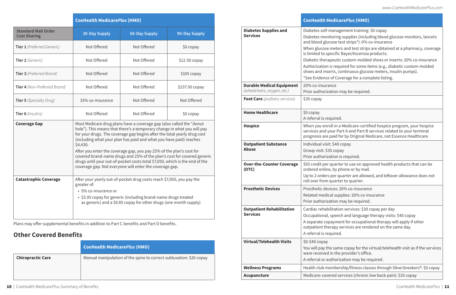|                                                   | <b>CoxHealth MedicarePlus (HMO)</b>                                                                                                                                                                                                                                                                                                                                                                                                                                                                                                                                                                        |                      |                |
|---------------------------------------------------|------------------------------------------------------------------------------------------------------------------------------------------------------------------------------------------------------------------------------------------------------------------------------------------------------------------------------------------------------------------------------------------------------------------------------------------------------------------------------------------------------------------------------------------------------------------------------------------------------------|----------------------|----------------|
| <b>Standard Mail Order</b><br><b>Cost Sharing</b> | <b>30-Day Supply</b>                                                                                                                                                                                                                                                                                                                                                                                                                                                                                                                                                                                       | <b>60-Day Supply</b> | 90-Day Supply  |
| Tier 1 (Preferred Generic)                        | Not Offered                                                                                                                                                                                                                                                                                                                                                                                                                                                                                                                                                                                                | Not Offered          | \$0 copay      |
| Tier 2 (Generic)                                  | Not Offered                                                                                                                                                                                                                                                                                                                                                                                                                                                                                                                                                                                                | Not Offered          | $$12.50$ copay |
| <b>Tier 3</b> (Preferred Brand)                   | Not Offered                                                                                                                                                                                                                                                                                                                                                                                                                                                                                                                                                                                                | Not Offered          | $$105$ copay   |
| Tier 4 (Non-Preferred Brand)                      | Not Offered                                                                                                                                                                                                                                                                                                                                                                                                                                                                                                                                                                                                | Not Offered          | \$237.50 copay |
| <b>Tier 5</b> (Specialty Drug)                    | 33% co-insurance                                                                                                                                                                                                                                                                                                                                                                                                                                                                                                                                                                                           | Not Offered          | Not Offered    |
| Tier 6 (Insulins)                                 | Not Offered                                                                                                                                                                                                                                                                                                                                                                                                                                                                                                                                                                                                | Not Offered          | \$0 copay      |
| <b>Coverage Gap</b>                               | Most Medicare drug plans have a coverage gap (also called the "donut<br>hole"). This means that there's a temporary change in what you will pay<br>for your drugs. The coverage gap begins after the total yearly drug cost<br>(including what your plan has paid and what you have paid) reaches<br>\$4,430.<br>After you enter the coverage gap, you pay 25% of the plan's cost for<br>covered brand-name drugs and 25% of the plan's cost for covered generic<br>drugs until your out-of-pocket costs total \$7,050, which is the end of the<br>coverage gap. Not everyone will enter the coverage gap. |                      |                |
| <b>Catastrophic Coverage</b>                      | After your yearly out-of-pocket drug costs reach \$7,050, you pay the<br>greater of:<br>• 5% co-insurance or<br>• \$3.95 copay for generic (including brand-name drugs treated<br>as generic) and a \$9.85 copay for other drugs (one month supply)                                                                                                                                                                                                                                                                                                                                                        |                      |                |

| <b>Diabetes Supplies and</b><br><b>Services</b>                 | Diabetes self-man<br>Diabetes monitori<br>and blood glucose<br>When glucose met<br>is limited to specif<br>Diabetic therapeu<br>Authorization is re<br>shoes and inserts.<br>*See Evidence of 0 |
|-----------------------------------------------------------------|-------------------------------------------------------------------------------------------------------------------------------------------------------------------------------------------------|
| <b>Durable Medical Equipment</b><br>(wheelchairs, oxygen, etc.) | 20% co-insurance<br>Prior authorizatio                                                                                                                                                          |
| <b>Foot Care</b> (podiatry services)                            | \$35 copay                                                                                                                                                                                      |
| <b>Home Healthcare</b>                                          | \$0 copay<br>A referral is requir                                                                                                                                                               |
| <b>Hospice</b>                                                  | When you enroll in<br>services and your<br>prognosis are paid                                                                                                                                   |
| <b>Outpatient Substance</b><br><b>Abuse</b>                     | Individual visit: \$4<br>Group visit: \$35 co<br>Prior authorizatio                                                                                                                             |
| <b>Over-the-Counter Coverage</b><br>(OTC)                       | \$93 credit per qua<br>ordered online, by<br>Up to 2 orders per<br>roll over from qua                                                                                                           |
| <b>Prosthetic Devices</b>                                       | Prosthetic devices<br>Related medical s<br>Prior authorizatio                                                                                                                                   |
| <b>Outpatient Rehabilitation</b><br><b>Services</b>             | Cardiac rehabilita<br>Occupational, spe<br>A separate copayr<br>outpatient therap<br>A referral is requir                                                                                       |
| <b>Virtual/Telehealth Visits</b>                                | \$0-\$40 copay<br>You will pay the sa<br>were received in t<br>A referral or autho                                                                                                              |
| <b>Wellness Programs</b>                                        | Health club memb                                                                                                                                                                                |
| <b>Acupuncture</b>                                              | Medicare-covered                                                                                                                                                                                |
|                                                                 |                                                                                                                                                                                                 |

Plans may offer supplemental benefits in addition to Part C benefits and Part D benefits.

## **Other Covered Benefits**

|                          | <b>CoxHealth MedicarePlus (HMO)</b>                                 |
|--------------------------|---------------------------------------------------------------------|
| <b>Chiropractic Care</b> | Manual manipulation of the spine to correct subluxation: \$20 copay |

## **CoxHealth Medicare***Plus* **(HMO)**

- nagement training: \$0 copay
- ing supplies (including blood glucose monitors, lancets e test strips\*): 0% co-insurance
- ters and test strips are obtained at a pharmacy, coverage ific Bayer/Ascensia products.
- atic custom-molded shoes or inserts: 20% co-insurance
- equired for some items (e.g., diabetic custom-molded s, continuous glucose meters, insulin pumps).
- Coverage for a complete listing.

on may be required.

red.

in a Medicare-certified hospice program, your hospice Part A and Part B services related to your terminal id for by Original Medicare, not Essence Healthcare.

10 copay

opay

on is required.

arter to use on approved health products that can be by phone or by mail.

r quarter are allowed, and leftover allowance does not arter to quarter.

**s**: 20% co-insurance

supplies: 20% co-insurance

on may be required.

tion services: \$30 copay per day

eech and language therapy visits: \$40 copay

ment for occupational therapy will apply if other

by services are rendered on the same day.

red.

ame copay for the virtual/telehealth visit as if the services the provider's office.

orization may be required.

bership/fitness classes through SilverSneakers®: \$0 copay

d services (chronic low back pain): \$35 copay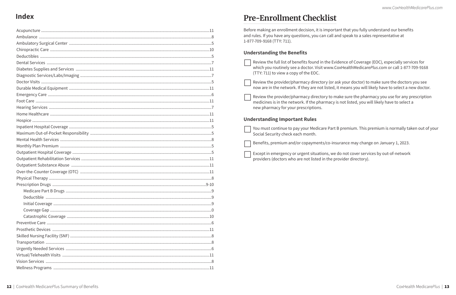## **Index**

## **Pre-Enrollment Checklist**

Before making an enrollment decision, it is important that you fully understand our benefits and rules. If you have any questions, you can call and speak to a sales representative at 1-877-709-9168 (TTY: 711).

### **Understanding the Benefits**

| Review the full list of benefits found in the Evi<br>which you routinely see a doctor. Visit www.C<br>(TTY: 711) to view a copy of the EOC. |
|---------------------------------------------------------------------------------------------------------------------------------------------|
| Review the provider/pharmacy directory (or a<br>now are in the network. If they are not listed,                                             |
| Review the provider/pharmacy directory to m<br>medicines is in the network. If the pharmacy i<br>new pharmacy for your prescriptions.       |
|                                                                                                                                             |
| <b>Understanding Important Rules</b>                                                                                                        |
| You must continue to pay your Medicare Part<br>Social Security check each month.                                                            |
| Benefits, premium and/or copayments/co-ins                                                                                                  |

vidence of Coverage (EOC), especially services for CoxHealthMedicarePlus.com or call 1-877-709-9168

ask your doctor) to make sure the doctors you see it means you will likely have to select a new doctor.

nake sure the pharmacy you use for any prescription is not listed, you will likely have to select a

t B premium. This premium is normally taken out of your

surance may change on January 1, 2023.

do not cover services by out-of-network provider directory).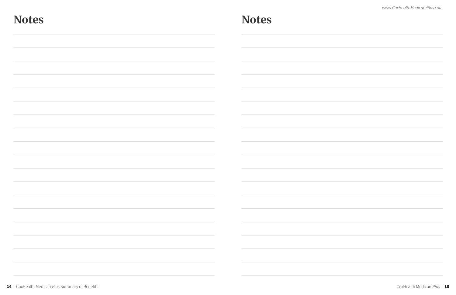*www.CoxHealthMedicarePlus.com* 

| <b>Notes</b>                                                                                                                                                                           | <b>Notes</b> |
|----------------------------------------------------------------------------------------------------------------------------------------------------------------------------------------|--------------|
|                                                                                                                                                                                        |              |
|                                                                                                                                                                                        |              |
|                                                                                                                                                                                        |              |
|                                                                                                                                                                                        |              |
|                                                                                                                                                                                        |              |
|                                                                                                                                                                                        |              |
| the contract of the contract of                                                                                                                                                        |              |
| the contract of the contract of the contract of                                                                                                                                        |              |
| the control of the control of the control of the control of the control of the control of<br>the control of the control of the control of the control of the control of the control of |              |
| ,我们也不会有什么?""我们的人,我们也不会有什么?""我们的人,我们也不会有什么?""我们的人,我们也不会有什么?""我们的人,我们也不会有什么?""我们的人<br>the control of the control of the control of the control of the control of the control of          |              |
| the contract of the contract of the contract of the contract of the contract of                                                                                                        |              |
|                                                                                                                                                                                        |              |